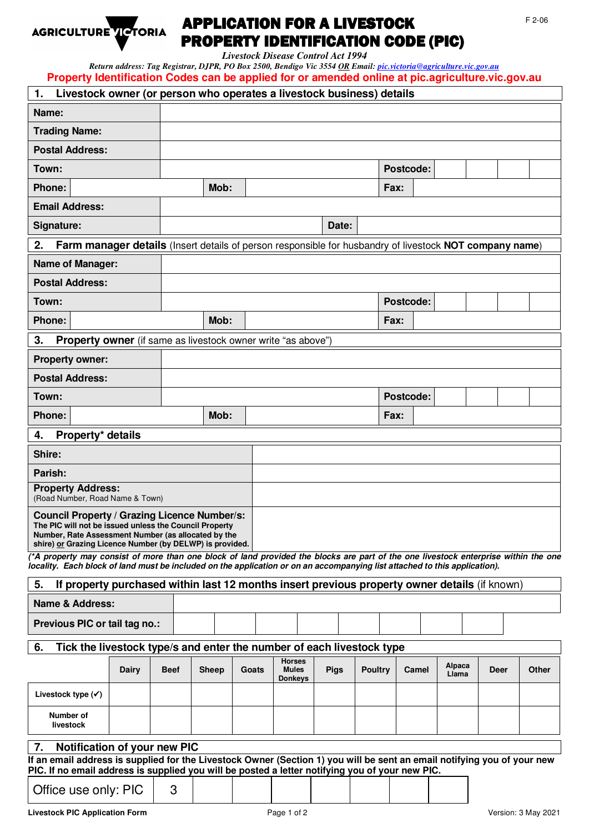

## APPLICATION FOR A LIVESTOCK AGRICULTURE TE TORIA APPLICATION FOR A LIVESTOCK<br>
PROPERTY IDENTIFICATION CODE (PIC)

*Livestock Disease Control Act 1994* 

*Return address: Tag Registrar, DJPR, PO Box 2500, Bendigo Vic 3554 OR Email: pic.victoria@agriculture.vic.gov.au* **Property Identification Codes can be applied for or amended online at pic.agriculture.vic.gov.au** 

| Livestock owner (or person who operates a livestock business) details<br>1.                                                                                                                                                                                       |       |             |       |       |                                                 |             |                |             |       |                 |             |  |       |
|-------------------------------------------------------------------------------------------------------------------------------------------------------------------------------------------------------------------------------------------------------------------|-------|-------------|-------|-------|-------------------------------------------------|-------------|----------------|-------------|-------|-----------------|-------------|--|-------|
| Name:                                                                                                                                                                                                                                                             |       |             |       |       |                                                 |             |                |             |       |                 |             |  |       |
| <b>Trading Name:</b>                                                                                                                                                                                                                                              |       |             |       |       |                                                 |             |                |             |       |                 |             |  |       |
| <b>Postal Address:</b>                                                                                                                                                                                                                                            |       |             |       |       |                                                 |             |                |             |       |                 |             |  |       |
| Town:                                                                                                                                                                                                                                                             |       |             |       |       |                                                 |             |                | Postcode:   |       |                 |             |  |       |
| <b>Phone:</b>                                                                                                                                                                                                                                                     |       |             | Mob:  |       |                                                 |             |                | Fax:        |       |                 |             |  |       |
| <b>Email Address:</b>                                                                                                                                                                                                                                             |       |             |       |       |                                                 |             |                |             |       |                 |             |  |       |
| Signature:                                                                                                                                                                                                                                                        |       |             |       |       |                                                 | Date:       |                |             |       |                 |             |  |       |
| 2.<br>Farm manager details (Insert details of person responsible for husbandry of livestock NOT company name)                                                                                                                                                     |       |             |       |       |                                                 |             |                |             |       |                 |             |  |       |
| <b>Name of Manager:</b>                                                                                                                                                                                                                                           |       |             |       |       |                                                 |             |                |             |       |                 |             |  |       |
| <b>Postal Address:</b>                                                                                                                                                                                                                                            |       |             |       |       |                                                 |             |                |             |       |                 |             |  |       |
| Town:                                                                                                                                                                                                                                                             |       |             |       |       |                                                 |             |                | Postcode:   |       |                 |             |  |       |
| <b>Phone:</b>                                                                                                                                                                                                                                                     |       |             | Mob:  |       |                                                 |             |                | <b>Fax:</b> |       |                 |             |  |       |
| 3.<br><b>Property owner</b> (if same as livestock owner write "as above")                                                                                                                                                                                         |       |             |       |       |                                                 |             |                |             |       |                 |             |  |       |
| <b>Property owner:</b>                                                                                                                                                                                                                                            |       |             |       |       |                                                 |             |                |             |       |                 |             |  |       |
| <b>Postal Address:</b>                                                                                                                                                                                                                                            |       |             |       |       |                                                 |             |                |             |       |                 |             |  |       |
| Town:                                                                                                                                                                                                                                                             |       |             |       |       |                                                 |             |                | Postcode:   |       |                 |             |  |       |
| <b>Phone:</b>                                                                                                                                                                                                                                                     |       |             | Mob:  |       |                                                 |             |                | <b>Fax:</b> |       |                 |             |  |       |
| Property* details<br>4.                                                                                                                                                                                                                                           |       |             |       |       |                                                 |             |                |             |       |                 |             |  |       |
| Shire:                                                                                                                                                                                                                                                            |       |             |       |       |                                                 |             |                |             |       |                 |             |  |       |
| Parish:                                                                                                                                                                                                                                                           |       |             |       |       |                                                 |             |                |             |       |                 |             |  |       |
| <b>Property Address:</b><br>(Road Number, Road Name & Town)                                                                                                                                                                                                       |       |             |       |       |                                                 |             |                |             |       |                 |             |  |       |
| Council Property / Grazing Licence Number/s:<br>The PIC will not be issued unless the Council Property<br>Number, Rate Assessment Number (as allocated by the<br>shire) or Grazing Licence Number (by DELWP) is provided.                                         |       |             |       |       |                                                 |             |                |             |       |                 |             |  |       |
| (*A property may consist of more than one block of land provided the blocks are part of the one livestock enterprise within the one<br>locality. Each block of land must be included on the application or on an accompanying list attached to this application). |       |             |       |       |                                                 |             |                |             |       |                 |             |  |       |
| If property purchased within last 12 months insert previous property owner details (if known)<br>5.                                                                                                                                                               |       |             |       |       |                                                 |             |                |             |       |                 |             |  |       |
| <b>Name &amp; Address:</b>                                                                                                                                                                                                                                        |       |             |       |       |                                                 |             |                |             |       |                 |             |  |       |
| Previous PIC or tail tag no.:                                                                                                                                                                                                                                     |       |             |       |       |                                                 |             |                |             |       |                 |             |  |       |
| Tick the livestock type/s and enter the number of each livestock type<br>6.                                                                                                                                                                                       |       |             |       |       |                                                 |             |                |             |       |                 |             |  |       |
|                                                                                                                                                                                                                                                                   | Dairy | <b>Beef</b> | Sheep | Goats | <b>Horses</b><br><b>Mules</b><br><b>Donkeys</b> | <b>Pigs</b> | <b>Poultry</b> |             | Camel | Alpaca<br>Llama | <b>Deer</b> |  | Other |
| Livestock type $(\checkmark)$                                                                                                                                                                                                                                     |       |             |       |       |                                                 |             |                |             |       |                 |             |  |       |
| Number of<br>livestock                                                                                                                                                                                                                                            |       |             |       |       |                                                 |             |                |             |       |                 |             |  |       |
| Notification of your new PIC<br>7.                                                                                                                                                                                                                                |       |             |       |       |                                                 |             |                |             |       |                 |             |  |       |
| If an email address is supplied for the Livestock Owner (Section 1) you will be sent an email notifying you of your new<br>PIC. If no email address is supplied you will be posted a letter notifying you of your new PIC.                                        |       |             |       |       |                                                 |             |                |             |       |                 |             |  |       |
| 3<br>Office use only: PIC                                                                                                                                                                                                                                         |       |             |       |       |                                                 |             |                |             |       |                 |             |  |       |